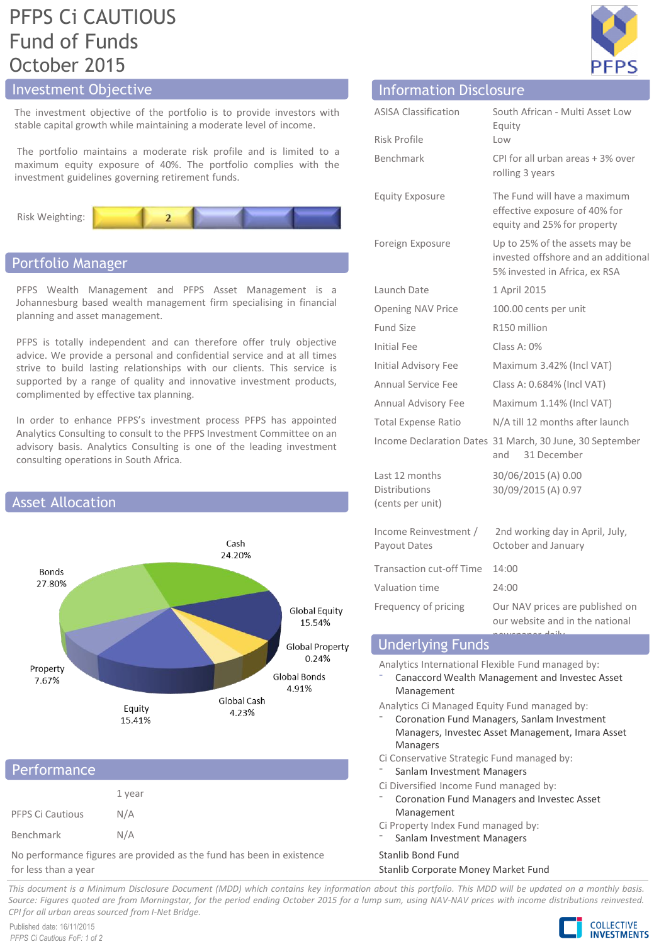# PFPS Ci CAUTIOUS Fund of Funds October 2015

# Investment Objective

The investment objective of the portfolio is to provide investors with stable capital growth while maintaining a moderate level of income.

The portfolio maintains a moderate risk profile and is limited to a maximum equity exposure of 40%. The portfolio complies with the investment guidelines governing retirement funds.



# Portfolio Manager

PFPS Wealth Management and PFPS Asset Management is a Johannesburg based wealth management firm specialising in financial planning and asset management.

PFPS is totally independent and can therefore offer truly objective advice. We provide a personal and confidential service and at all times strive to build lasting relationships with our clients. This service is supported by a range of quality and innovative investment products, complimented by effective tax planning.

In order to enhance PFPS's investment process PFPS has appointed Analytics Consulting to consult to the PFPS Investment Committee on an advisory basis. Analytics Consulting is one of the leading investment consulting operations in South Africa.



# 1 year PFPS Ci Cautious N/A Benchmark N/A Performance

No performance figures are provided as the fund has been in existence for less than a year

| <b>Information Disclosure</b>                              |                                                                                                        |
|------------------------------------------------------------|--------------------------------------------------------------------------------------------------------|
| <b>ASISA Classification</b>                                | South African - Multi Asset Low<br>Equity                                                              |
| Risk Profile                                               | Low                                                                                                    |
| <b>Benchmark</b>                                           | CPI for all urban areas + 3% over<br>rolling 3 years                                                   |
| <b>Equity Exposure</b>                                     | The Fund will have a maximum<br>effective exposure of 40% for<br>equity and 25% for property           |
| Foreign Exposure                                           | Up to 25% of the assets may be<br>invested offshore and an additional<br>5% invested in Africa, ex RSA |
| Launch Date                                                | 1 April 2015                                                                                           |
| Opening NAV Price                                          | 100.00 cents per unit                                                                                  |
| Fund Size                                                  | R150 million                                                                                           |
| Initial Fee                                                | Class A: $0\%$                                                                                         |
| Initial Advisory Fee                                       | Maximum 3.42% (Incl VAT)                                                                               |
| Annual Service Fee                                         | Class A: 0.684% (Incl VAT)                                                                             |
| Annual Advisory Fee                                        | Maximum 1.14% (Incl VAT)                                                                               |
| <b>Total Expense Ratio</b>                                 | N/A till 12 months after launch                                                                        |
|                                                            | Income Declaration Dates 31 March, 30 June, 30 September<br>31 December<br>and                         |
| Last 12 months<br><b>Distributions</b><br>(cents per unit) | 30/06/2015 (A) 0.00<br>30/09/2015 (A) 0.97                                                             |
| Income Reinvestment /<br>Payout Dates                      | 2nd working day in April, July,<br>October and January                                                 |
| <b>Transaction cut-off Time</b>                            | 14:00                                                                                                  |
| Valuation time                                             | 24:00                                                                                                  |
| Frequency of pricing                                       | Our NAV prices are published on<br>our website and in the national<br>ببلتداء                          |
|                                                            |                                                                                                        |

# Underlying Funds

Analytics International Flexible Fund managed by:

- ⁻ Canaccord Wealth Management and Investec Asset Management
- Analytics Ci Managed Equity Fund managed by:
	- ⁻ Coronation Fund Managers, Sanlam Investment Managers, Investec Asset Management, Imara Asset Managers
- Ci Conservative Strategic Fund managed by:
- Sanlam Investment Managers
- Ci Diversified Income Fund managed by:
- ⁻ Coronation Fund Managers and Investec Asset Management
- Ci Property Index Fund managed by:
- Sanlam Investment Managers

# Stanlib Bond Fund

# Stanlib Corporate Money Market Fund

This document is a Minimum Disclosure Document (MDD) which contains key information about this portfolio. This MDD will be updated on a monthly basis. Source: Figures guoted are from Morningstar, for the period ending October 2015 for a lump sum, using NAV-NAV prices with income distributions reinvested. *CPI for all urban areas sourced from I-Net Bridge.*